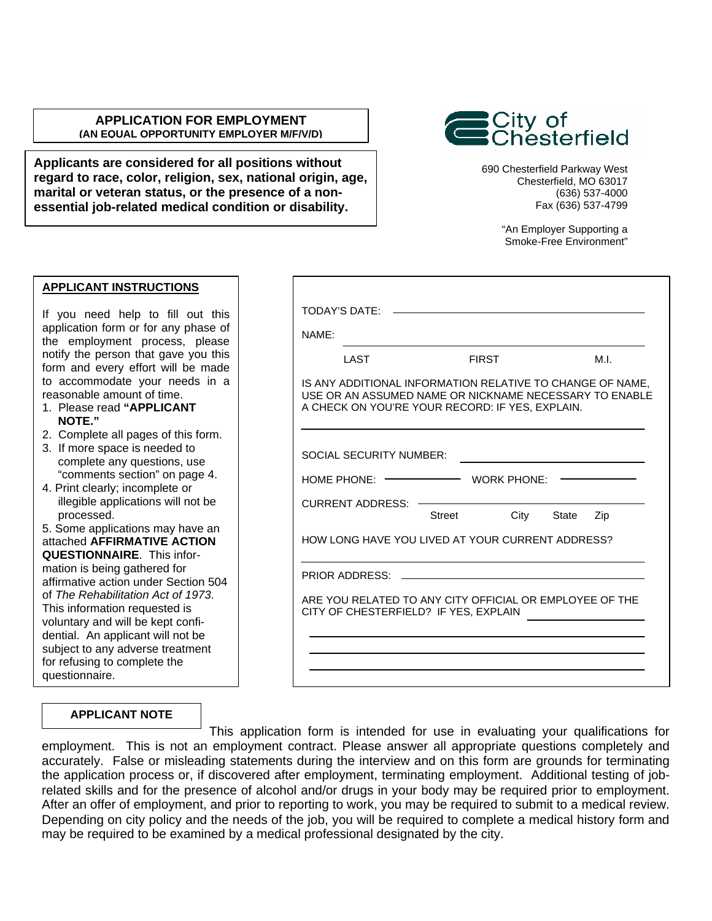### **APPLICATION FOR EMPLOYMENT (AN EQUAL OPPORTUNITY EMPLOYER M/F/V/D)**

**Applicants are considered for all positions without regard to race, color, religion, sex, national origin, age, marital or veteran status, or the presence of a nonessential job-related medical condition or disability.**

690 Chesterfield Parkway West Chesterfield, MO 63017 (636) 537-4000 Fax (636) 537-4799

¦City of<br>¦Chesterfield

"An Employer Supporting a Smoke-Free Environment"

## **APPLICANT INSTRUCTIONS**

If you need help to fill out this application form or for any phase of the employment process, please notify the person that gave you this form and every effort will be made to accommodate your needs in a reasonable amount of time.

- 1. Please read **"APPLICANT NOTE."**
- 2. Complete all pages of this form.
- 3. If more space is needed to complete any questions, use "comments section" on page 4.
- 4. Print clearly; incomplete or illegible applications will not be processed.

5. Some applications may have an attached **AFFIRMATIVE ACTION QUESTIONNAIRE**. This information is being gathered for affirmative action under Section 504 of *The Rehabilitation Act of 1973*. This information requested is voluntary and will be kept confidential. An applicant will not be subject to any adverse treatment for refusing to complete the questionnaire.

| NAME:                          |                                                                                                                                                                        |              |            |     |
|--------------------------------|------------------------------------------------------------------------------------------------------------------------------------------------------------------------|--------------|------------|-----|
| LAST                           |                                                                                                                                                                        | <b>FIRST</b> |            | M.L |
|                                | IS ANY ADDITIONAL INFORMATION RELATIVE TO CHANGE OF NAME.<br>USE OR AN ASSUMED NAME OR NICKNAME NECESSARY TO ENABLE<br>A CHECK ON YOU'RE YOUR RECORD: IF YES, EXPLAIN, |              |            |     |
| <b>SOCIAL SECURITY NUMBER:</b> |                                                                                                                                                                        |              |            |     |
| HOME PHONE: $\leftarrow$       |                                                                                                                                                                        | WORK PHONE:  |            |     |
| CURRENT ADDRESS: -             | Street                                                                                                                                                                 |              | City State | Zip |
|                                | HOW LONG HAVE YOU LIVED AT YOUR CURRENT ADDRESS?                                                                                                                       |              |            |     |
| PRIOR ADDRESS: _____           |                                                                                                                                                                        |              |            |     |
|                                | ARE YOU RELATED TO ANY CITY OFFICIAL OR EMPLOYEE OF THE<br>CITY OF CHESTERFIELD? IF YES, EXPLAIN                                                                       |              |            |     |
|                                |                                                                                                                                                                        |              |            |     |

### **APPLICANT NOTE**

This application form is intended for use in evaluating your qualifications for employment. This is not an employment contract. Please answer all appropriate questions completely and accurately. False or misleading statements during the interview and on this form are grounds for terminating the application process or, if discovered after employment, terminating employment. Additional testing of jobrelated skills and for the presence of alcohol and/or drugs in your body may be required prior to employment. After an offer of employment, and prior to reporting to work, you may be required to submit to a medical review. Depending on city policy and the needs of the job, you will be required to complete a medical history form and may be required to be examined by a medical professional designated by the city.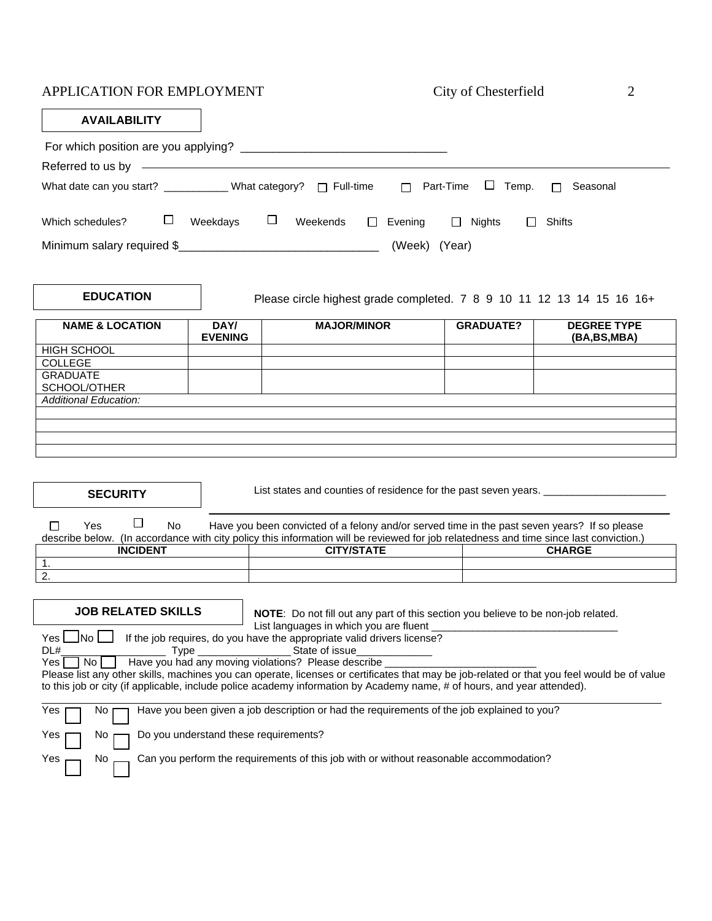| APPLICATION FOR EMPLOYMENT                                                         |                                       |                                                                                                                                                                                                                                                                                                                                                                                                                                | City of Chesterfield           | 2                                 |
|------------------------------------------------------------------------------------|---------------------------------------|--------------------------------------------------------------------------------------------------------------------------------------------------------------------------------------------------------------------------------------------------------------------------------------------------------------------------------------------------------------------------------------------------------------------------------|--------------------------------|-----------------------------------|
| <b>AVAILABILITY</b>                                                                |                                       |                                                                                                                                                                                                                                                                                                                                                                                                                                |                                |                                   |
|                                                                                    |                                       |                                                                                                                                                                                                                                                                                                                                                                                                                                |                                |                                   |
|                                                                                    |                                       |                                                                                                                                                                                                                                                                                                                                                                                                                                |                                |                                   |
| What date can you start? ___________ What category? □ Full-time                    |                                       |                                                                                                                                                                                                                                                                                                                                                                                                                                | $\Box$ Part-Time<br>Temp.<br>⊔ | Seasonal<br>П                     |
| ⊔<br>Which schedules?                                                              | Weekdays $\Box$ Weekends              | $\Box$ Evening                                                                                                                                                                                                                                                                                                                                                                                                                 | $\Box$ Nights<br>$\Box$        | Shifts                            |
| Minimum salary required \$                                                         |                                       | (Week) (Year)                                                                                                                                                                                                                                                                                                                                                                                                                  |                                |                                   |
| <b>EDUCATION</b>                                                                   |                                       | Please circle highest grade completed. 7 8 9 10 11 12 13 14 15 16 16+                                                                                                                                                                                                                                                                                                                                                          |                                |                                   |
| <b>NAME &amp; LOCATION</b>                                                         | DAY/<br><b>EVENING</b>                | <b>MAJOR/MINOR</b>                                                                                                                                                                                                                                                                                                                                                                                                             | <b>GRADUATE?</b>               | <b>DEGREE TYPE</b><br>(BA,BS,MBA) |
| <b>HIGH SCHOOL</b>                                                                 |                                       |                                                                                                                                                                                                                                                                                                                                                                                                                                |                                |                                   |
| <b>COLLEGE</b><br><b>GRADUATE</b>                                                  |                                       |                                                                                                                                                                                                                                                                                                                                                                                                                                |                                |                                   |
| SCHOOL/OTHER                                                                       |                                       |                                                                                                                                                                                                                                                                                                                                                                                                                                |                                |                                   |
| <b>Additional Education:</b>                                                       |                                       |                                                                                                                                                                                                                                                                                                                                                                                                                                |                                |                                   |
|                                                                                    |                                       |                                                                                                                                                                                                                                                                                                                                                                                                                                |                                |                                   |
|                                                                                    |                                       |                                                                                                                                                                                                                                                                                                                                                                                                                                |                                |                                   |
|                                                                                    |                                       |                                                                                                                                                                                                                                                                                                                                                                                                                                |                                |                                   |
| <b>SECURITY</b>                                                                    |                                       | List states and counties of residence for the past seven years. _________________                                                                                                                                                                                                                                                                                                                                              |                                |                                   |
| $\Box$<br>Yes<br><b>No</b><br>П                                                    |                                       | Have you been convicted of a felony and/or served time in the past seven years? If so please<br>describe below. (In accordance with city policy this information will be reviewed for job relatedness and time since last conviction.)                                                                                                                                                                                         |                                |                                   |
| <b>INCIDENT</b>                                                                    |                                       | <b>CITY/STATE</b>                                                                                                                                                                                                                                                                                                                                                                                                              |                                | <b>CHARGE</b>                     |
| 1.                                                                                 |                                       |                                                                                                                                                                                                                                                                                                                                                                                                                                |                                |                                   |
| 2.                                                                                 |                                       |                                                                                                                                                                                                                                                                                                                                                                                                                                |                                |                                   |
| <b>JOB RELATED SKILLS</b><br>∐No L<br>Yes  <br>DL#<br><b>Type</b><br>No l<br>Yes I |                                       | NOTE: Do not fill out any part of this section you believe to be non-job related.<br>List languages in which you are fluent<br>If the job requires, do you have the appropriate valid drivers license?<br>State of issue<br>Have you had any moving violations? Please describe<br>Please list any other skills, machines you can operate, licenses or certificates that may be job-related or that you feel would be of value |                                |                                   |
| Yes<br>No.                                                                         |                                       | to this job or city (if applicable, include police academy information by Academy name, # of hours, and year attended).<br>Have you been given a job description or had the requirements of the job explained to you?                                                                                                                                                                                                          |                                |                                   |
| Νo<br>Yes                                                                          | Do you understand these requirements? |                                                                                                                                                                                                                                                                                                                                                                                                                                |                                |                                   |
|                                                                                    |                                       |                                                                                                                                                                                                                                                                                                                                                                                                                                |                                |                                   |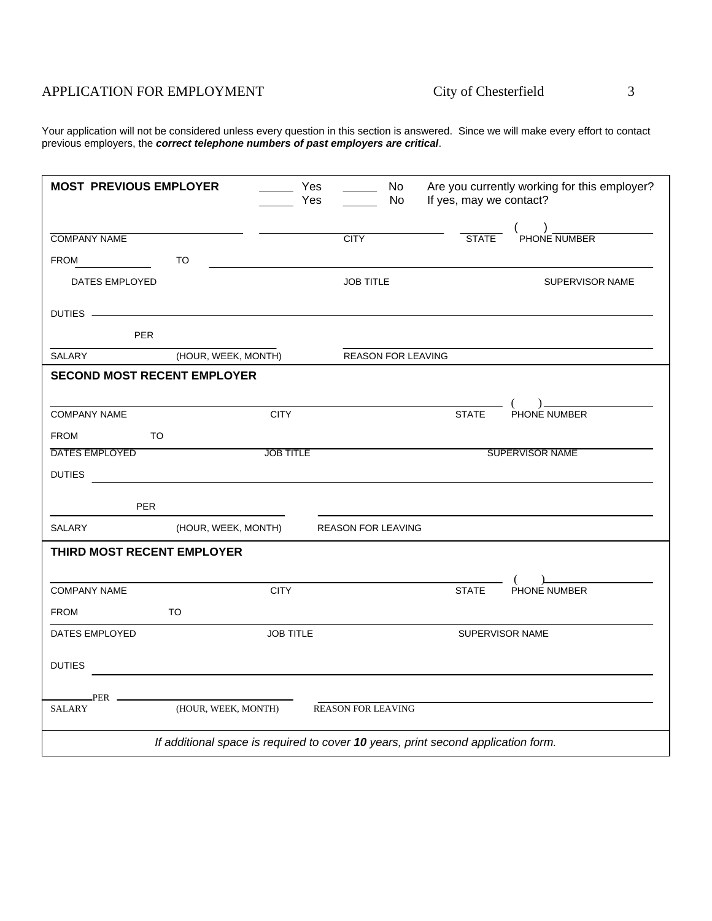# APPLICATION FOR EMPLOYMENT City of Chesterfield 3

Your application will not be considered unless every question in this section is answered. Since we will make every effort to contact previous employers, the *correct telephone numbers of past employers are critical*.

| <b>MOST PREVIOUS EMPLOYER</b>                                                                                                                                                                                                  |                                                                                   | Yes<br>Yes       | $\mathcal{L}^{\mathcal{L}}$ | No<br>No | If yes, may we contact? | Are you currently working for this employer?                   |
|--------------------------------------------------------------------------------------------------------------------------------------------------------------------------------------------------------------------------------|-----------------------------------------------------------------------------------|------------------|-----------------------------|----------|-------------------------|----------------------------------------------------------------|
| <b>COMPANY NAME</b>                                                                                                                                                                                                            |                                                                                   |                  | <b>CITY</b>                 |          | <b>STATE</b>            | $\begin{pmatrix} 0 & 0 \\ 0 & 0 \end{pmatrix}$ PHONE NUMBER    |
| FROM                                                                                                                                                                                                                           | <b>TO</b>                                                                         |                  |                             |          |                         |                                                                |
| <b>DATES EMPLOYED</b>                                                                                                                                                                                                          |                                                                                   |                  | <b>JOB TITLE</b>            |          |                         | SUPERVISOR NAME                                                |
| DUTIES - Note and the contract of the contract of the contract of the contract of the contract of the contract of the contract of the contract of the contract of the contract of the contract of the contract of the contract |                                                                                   |                  |                             |          |                         |                                                                |
| <b>PER</b>                                                                                                                                                                                                                     |                                                                                   |                  |                             |          |                         |                                                                |
| SALARY                                                                                                                                                                                                                         | (HOUR, WEEK, MONTH)                                                               |                  | <b>REASON FOR LEAVING</b>   |          |                         |                                                                |
| <b>SECOND MOST RECENT EMPLOYER</b>                                                                                                                                                                                             |                                                                                   |                  |                             |          |                         |                                                                |
|                                                                                                                                                                                                                                |                                                                                   |                  |                             |          |                         |                                                                |
| <b>COMPANY NAME</b>                                                                                                                                                                                                            |                                                                                   | <b>CITY</b>      |                             |          | <b>STATE</b>            | $\begin{array}{c} \text{(} \\ \text{PHONE NUMBER} \end{array}$ |
| <b>FROM</b><br>TO.                                                                                                                                                                                                             |                                                                                   |                  |                             |          |                         |                                                                |
| DATES EMPLOYED                                                                                                                                                                                                                 |                                                                                   | <b>JOB TITLE</b> |                             |          |                         | SUPERVISOR NAME                                                |
| <b>DUTIES</b>                                                                                                                                                                                                                  |                                                                                   |                  |                             |          |                         |                                                                |
| <b>PER</b>                                                                                                                                                                                                                     |                                                                                   |                  |                             |          |                         |                                                                |
| SALARY                                                                                                                                                                                                                         | (HOUR, WEEK, MONTH)                                                               |                  | <b>REASON FOR LEAVING</b>   |          |                         |                                                                |
| THIRD MOST RECENT EMPLOYER                                                                                                                                                                                                     |                                                                                   |                  |                             |          |                         |                                                                |
|                                                                                                                                                                                                                                |                                                                                   |                  |                             |          |                         | $\begin{pmatrix} 1 & 1 \\ 1 & 1 \end{pmatrix}$                 |
| <b>COMPANY NAME</b>                                                                                                                                                                                                            |                                                                                   | <b>CITY</b>      |                             |          | <b>STATE</b>            | PHONE NUMBER                                                   |
| <b>FROM</b>                                                                                                                                                                                                                    | <b>TO</b>                                                                         |                  |                             |          |                         |                                                                |
| DATES EMPLOYED                                                                                                                                                                                                                 |                                                                                   | <b>JOB TITLE</b> |                             |          |                         | SUPERVISOR NAME                                                |
|                                                                                                                                                                                                                                |                                                                                   |                  |                             |          |                         |                                                                |
| <b>DUTIES</b>                                                                                                                                                                                                                  |                                                                                   |                  |                             |          |                         |                                                                |
|                                                                                                                                                                                                                                |                                                                                   |                  |                             |          |                         |                                                                |
| SALARY                                                                                                                                                                                                                         | (HOUR, WEEK, MONTH)                                                               |                  | <b>REASON FOR LEAVING</b>   |          |                         |                                                                |
|                                                                                                                                                                                                                                | If additional space is required to cover 10 years, print second application form. |                  |                             |          |                         |                                                                |